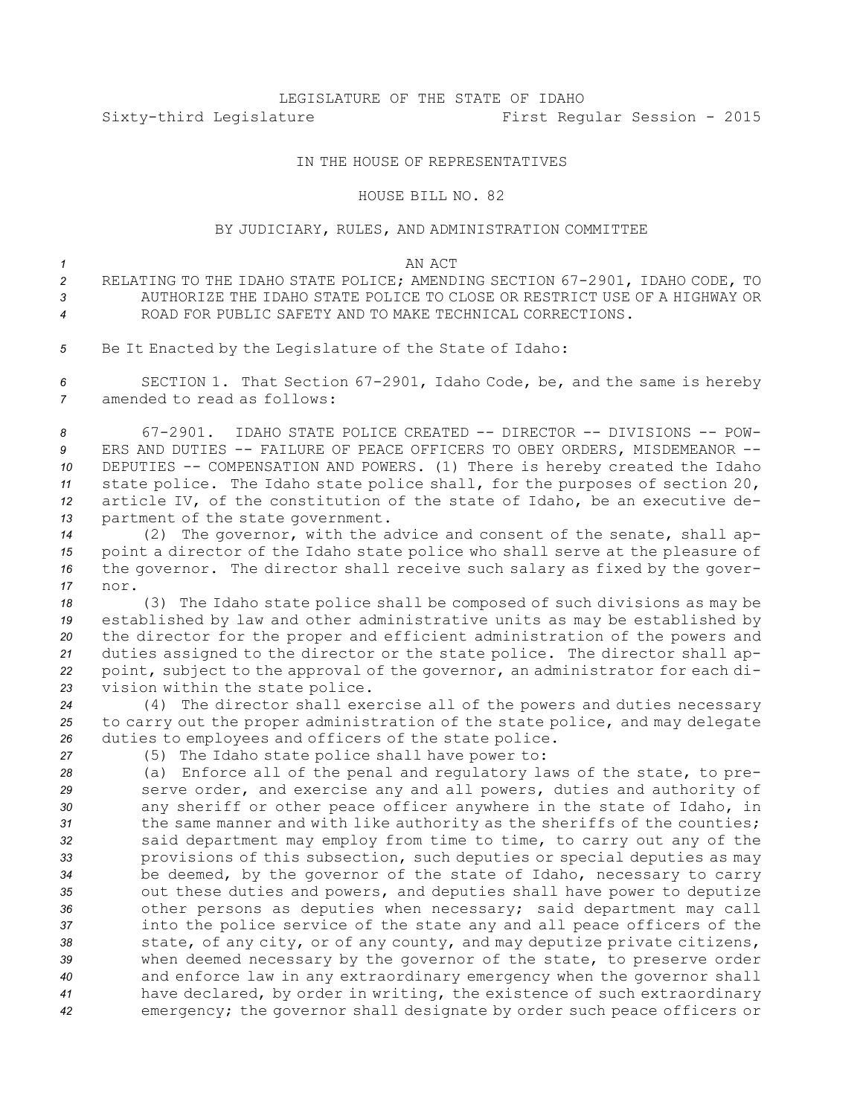# LEGISLATURE OF THE STATE OF IDAHO Sixty-third Legislature First Regular Session - 2015

## IN THE HOUSE OF REPRESENTATIVES

#### HOUSE BILL NO. 82

### BY JUDICIARY, RULES, AND ADMINISTRATION COMMITTEE

#### *1* AN ACT

- *<sup>2</sup>* RELATING TO THE IDAHO STATE POLICE; AMENDING SECTION 67-2901, IDAHO CODE, TO *3* AUTHORIZE THE IDAHO STATE POLICE TO CLOSE OR RESTRICT USE OF A HIGHWAY OR *4* ROAD FOR PUBLIC SAFETY AND TO MAKE TECHNICAL CORRECTIONS.
- *<sup>5</sup>* Be It Enacted by the Legislature of the State of Idaho:

*<sup>6</sup>* SECTION 1. That Section 67-2901, Idaho Code, be, and the same is hereby *7* amended to read as follows:

 67-2901. IDAHO STATE POLICE CREATED -- DIRECTOR -- DIVISIONS -- POW- ERS AND DUTIES -- FAILURE OF PEACE OFFICERS TO OBEY ORDERS, MISDEMEANOR -- DEPUTIES -- COMPENSATION AND POWERS. (1) There is hereby created the Idaho state police. The Idaho state police shall, for the purposes of section 20, article IV, of the constitution of the state of Idaho, be an executive de-partment of the state government.

 (2) The governor, with the advice and consent of the senate, shall ap- point <sup>a</sup> director of the Idaho state police who shall serve at the pleasure of the governor. The director shall receive such salary as fixed by the gover-*17* nor.

 (3) The Idaho state police shall be composed of such divisions as may be established by law and other administrative units as may be established by the director for the proper and efficient administration of the powers and duties assigned to the director or the state police. The director shall ap- point, subject to the approval of the governor, an administrator for each di-vision within the state police.

*<sup>24</sup>* (4) The director shall exercise all of the powers and duties necessary *<sup>25</sup>* to carry out the proper administration of the state police, and may delegate *<sup>26</sup>* duties to employees and officers of the state police.

*<sup>27</sup>* (5) The Idaho state police shall have power to:

 (a) Enforce all of the penal and regulatory laws of the state, to pre- serve order, and exercise any and all powers, duties and authority of any sheriff or other peace officer anywhere in the state of Idaho, in the same manner and with like authority as the sheriffs of the counties; said department may employ from time to time, to carry out any of the provisions of this subsection, such deputies or special deputies as may be deemed, by the governor of the state of Idaho, necessary to carry out these duties and powers, and deputies shall have power to deputize other persons as deputies when necessary; said department may call into the police service of the state any and all peace officers of the state, of any city, or of any county, and may deputize private citizens, when deemed necessary by the governor of the state, to preserve order and enforce law in any extraordinary emergency when the governor shall have declared, by order in writing, the existence of such extraordinary emergency; the governor shall designate by order such peace officers or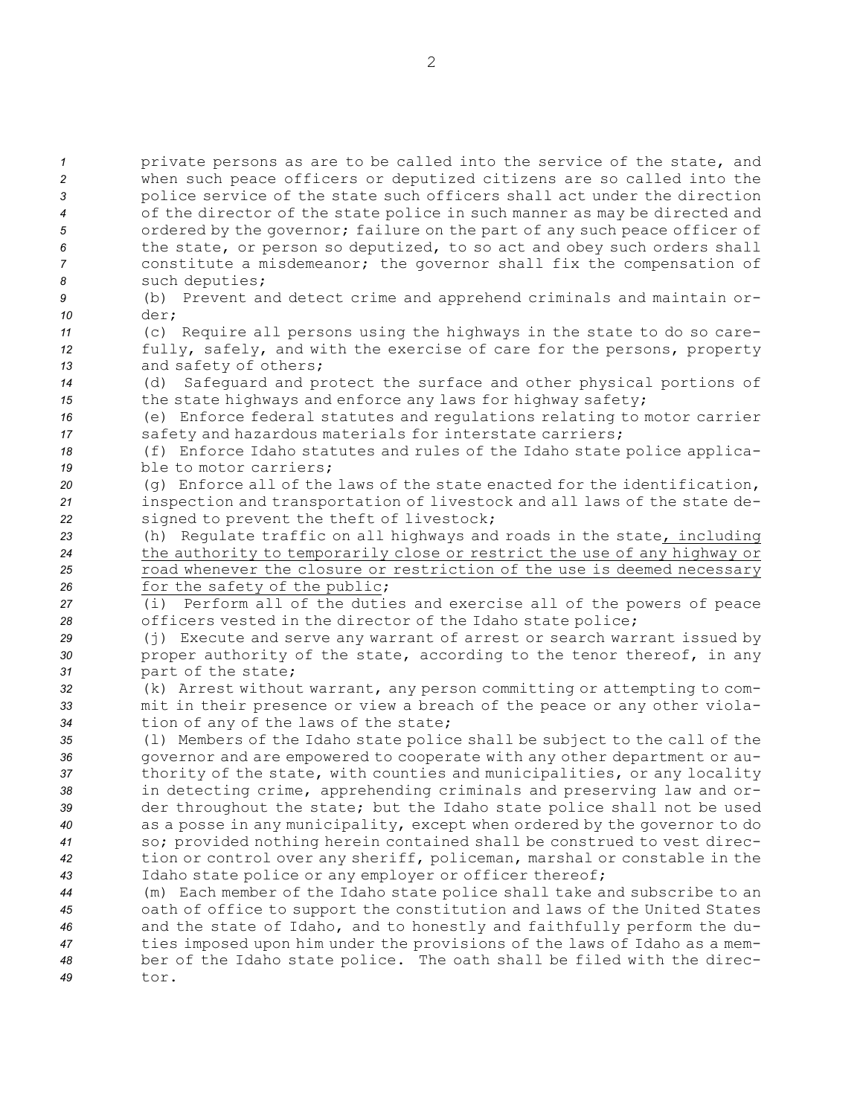**1** private persons as are to be called into the service of the state, and when such peace officers or deputized citizens are so called into the police service of the state such officers shall act under the direction of the director of the state police in such manner as may be directed and ordered by the governor; failure on the part of any such peace officer of the state, or person so deputized, to so act and obey such orders shall constitute <sup>a</sup> misdemeanor; the governor shall fix the compensation of such deputies; (b) Prevent and detect crime and apprehend criminals and maintain or-*10* der; (c) Require all persons using the highways in the state to do so care- fully, safely, and with the exercise of care for the persons, property and safety of others; (d) Safeguard and protect the surface and other physical portions of the state highways and enforce any laws for highway safety; (e) Enforce federal statutes and regulations relating to motor carrier 17 safety and hazardous materials for interstate carriers; (f) Enforce Idaho statutes and rules of the Idaho state police applica- ble to motor carriers; (g) Enforce all of the laws of the state enacted for the identification, inspection and transportation of livestock and all laws of the state de- signed to prevent the theft of livestock; (h) Regulate traffic on all highways and roads in the state, including the authority to temporarily close or restrict the use of any highway or road whenever the closure or restriction of the use is deemed necessary 26 for the safety of the public; (i) Perform all of the duties and exercise all of the powers of peace officers vested in the director of the Idaho state police; (j) Execute and serve any warrant of arrest or search warrant issued by 30 proper authority of the state, according to the tenor thereof, in any part of the state; (k) Arrest without warrant, any person committing or attempting to com- mit in their presence or view <sup>a</sup> breach of the peace or any other viola- tion of any of the laws of the state; (l) Members of the Idaho state police shall be subject to the call of the governor and are empowered to cooperate with any other department or au- thority of the state, with counties and municipalities, or any locality in detecting crime, apprehending criminals and preserving law and or- der throughout the state; but the Idaho state police shall not be used as <sup>a</sup> posse in any municipality, except when ordered by the governor to do so; provided nothing herein contained shall be construed to vest direc- tion or control over any sheriff, policeman, marshal or constable in the Idaho state police or any employer or officer thereof; (m) Each member of the Idaho state police shall take and subscribe to an oath of office to support the constitution and laws of the United States and the state of Idaho, and to honestly and faithfully perform the du- ties imposed upon him under the provisions of the laws of Idaho as <sup>a</sup> mem- ber of the Idaho state police. The oath shall be filed with the direc-*49* tor.

2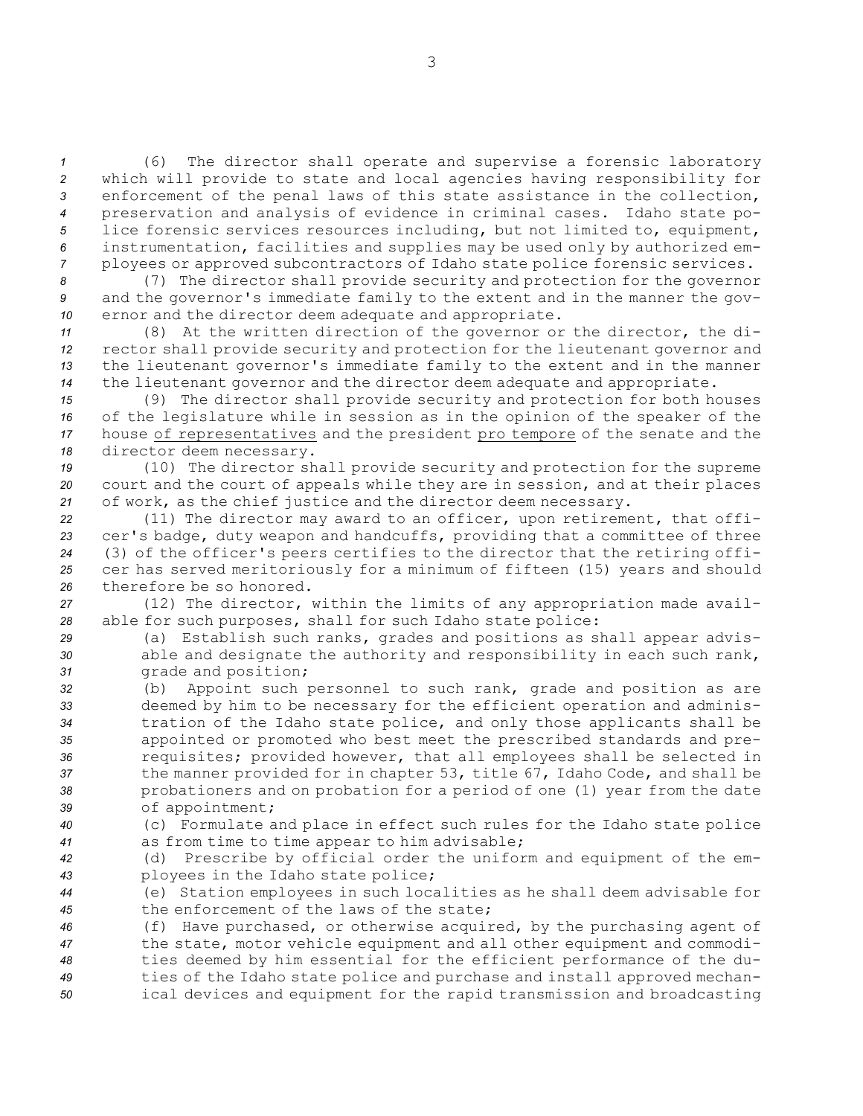(6) The director shall operate and supervise <sup>a</sup> forensic laboratory which will provide to state and local agencies having responsibility for enforcement of the penal laws of this state assistance in the collection, preservation and analysis of evidence in criminal cases. Idaho state po- lice forensic services resources including, but not limited to, equipment, instrumentation, facilities and supplies may be used only by authorized em-ployees or approved subcontractors of Idaho state police forensic services.

*<sup>8</sup>* (7) The director shall provide security and protection for the governor *<sup>9</sup>* and the governor's immediate family to the extent and in the manner the gov-*<sup>10</sup>* ernor and the director deem adequate and appropriate.

 (8) At the written direction of the governor or the director, the di- rector shall provide security and protection for the lieutenant governor and the lieutenant governor's immediate family to the extent and in the manner the lieutenant governor and the director deem adequate and appropriate.

 (9) The director shall provide security and protection for both houses of the legislature while in session as in the opinion of the speaker of the house of representatives and the president pro tempore of the senate and the director deem necessary.

*<sup>19</sup>* (10) The director shall provide security and protection for the supreme *<sup>20</sup>* court and the court of appeals while they are in session, and at their places *<sup>21</sup>* of work, as the chief justice and the director deem necessary.

 (11) The director may award to an officer, upon retirement, that offi- cer's badge, duty weapon and handcuffs, providing that <sup>a</sup> committee of three (3) of the officer's peers certifies to the director that the retiring offi- cer has served meritoriously for <sup>a</sup> minimum of fifteen (15) years and should therefore be so honored.

*<sup>27</sup>* (12) The director, within the limits of any appropriation made avail-*<sup>28</sup>* able for such purposes, shall for such Idaho state police:

*<sup>29</sup>* (a) Establish such ranks, grades and positions as shall appear advis-*<sup>30</sup>* able and designate the authority and responsibility in each such rank, *<sup>31</sup>* grade and position;

 (b) Appoint such personnel to such rank, grade and position as are deemed by him to be necessary for the efficient operation and adminis- tration of the Idaho state police, and only those applicants shall be appointed or promoted who best meet the prescribed standards and pre- requisites; provided however, that all employees shall be selected in the manner provided for in chapter 53, title 67, Idaho Code, and shall be probationers and on probation for <sup>a</sup> period of one (1) year from the date of appointment;

*<sup>40</sup>* (c) Formulate and place in effect such rules for the Idaho state police *<sup>41</sup>* as from time to time appear to him advisable;

*<sup>42</sup>* (d) Prescribe by official order the uniform and equipment of the em-*<sup>43</sup>* ployees in the Idaho state police;

*<sup>44</sup>* (e) Station employees in such localities as he shall deem advisable for *45* the enforcement of the laws of the state;

 (f) Have purchased, or otherwise acquired, by the purchasing agent of the state, motor vehicle equipment and all other equipment and commodi- ties deemed by him essential for the efficient performance of the du- ties of the Idaho state police and purchase and install approved mechan-ical devices and equipment for the rapid transmission and broadcasting